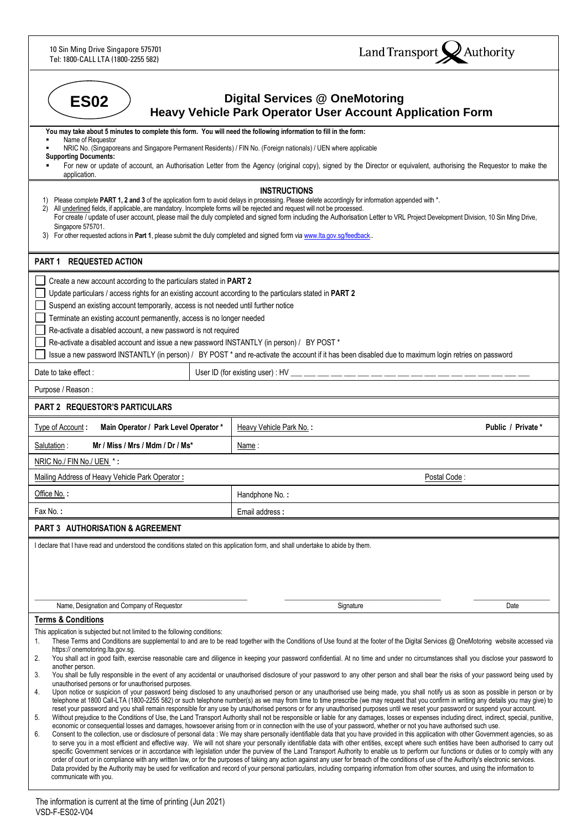10 Sin Ming Drive Singapore 575701 Tel: 1800-CALL LTA (1800-2255 582)



| <b>Digital Services @ OneMotoring</b><br><b>ES02</b><br><b>Heavy Vehicle Park Operator User Account Application Form</b>                                                                                                                                                                                                                                                                                                                                                                                                                                                                                                                                                                                                                                                                                                                                                                                                                                                                                                                                                                                                                                                                                                                                                                                                                                                                                                                                                                                                                                                                                                                                                                                                                                                                                                                                                                                                                                                                                                                                                                                                                                                                                                                                                                                                                                                                                                                                                                                                                                                                                                                                                                                                                                                           |                                                                                                                                                                                                                                                                                                                                                            |                    |  |  |  |
|------------------------------------------------------------------------------------------------------------------------------------------------------------------------------------------------------------------------------------------------------------------------------------------------------------------------------------------------------------------------------------------------------------------------------------------------------------------------------------------------------------------------------------------------------------------------------------------------------------------------------------------------------------------------------------------------------------------------------------------------------------------------------------------------------------------------------------------------------------------------------------------------------------------------------------------------------------------------------------------------------------------------------------------------------------------------------------------------------------------------------------------------------------------------------------------------------------------------------------------------------------------------------------------------------------------------------------------------------------------------------------------------------------------------------------------------------------------------------------------------------------------------------------------------------------------------------------------------------------------------------------------------------------------------------------------------------------------------------------------------------------------------------------------------------------------------------------------------------------------------------------------------------------------------------------------------------------------------------------------------------------------------------------------------------------------------------------------------------------------------------------------------------------------------------------------------------------------------------------------------------------------------------------------------------------------------------------------------------------------------------------------------------------------------------------------------------------------------------------------------------------------------------------------------------------------------------------------------------------------------------------------------------------------------------------------------------------------------------------------------------------------------------------|------------------------------------------------------------------------------------------------------------------------------------------------------------------------------------------------------------------------------------------------------------------------------------------------------------------------------------------------------------|--------------------|--|--|--|
| You may take about 5 minutes to complete this form. You will need the following information to fill in the form:<br>Name of Requestor                                                                                                                                                                                                                                                                                                                                                                                                                                                                                                                                                                                                                                                                                                                                                                                                                                                                                                                                                                                                                                                                                                                                                                                                                                                                                                                                                                                                                                                                                                                                                                                                                                                                                                                                                                                                                                                                                                                                                                                                                                                                                                                                                                                                                                                                                                                                                                                                                                                                                                                                                                                                                                              |                                                                                                                                                                                                                                                                                                                                                            |                    |  |  |  |
| NRIC No. (Singaporeans and Singapore Permanent Residents) / FIN No. (Foreign nationals) / UEN where applicable<br><b>Supporting Documents:</b>                                                                                                                                                                                                                                                                                                                                                                                                                                                                                                                                                                                                                                                                                                                                                                                                                                                                                                                                                                                                                                                                                                                                                                                                                                                                                                                                                                                                                                                                                                                                                                                                                                                                                                                                                                                                                                                                                                                                                                                                                                                                                                                                                                                                                                                                                                                                                                                                                                                                                                                                                                                                                                     |                                                                                                                                                                                                                                                                                                                                                            |                    |  |  |  |
| For new or update of account, an Authorisation Letter from the Agency (original copy), signed by the Director or equivalent, authorising the Requestor to make the<br>application.                                                                                                                                                                                                                                                                                                                                                                                                                                                                                                                                                                                                                                                                                                                                                                                                                                                                                                                                                                                                                                                                                                                                                                                                                                                                                                                                                                                                                                                                                                                                                                                                                                                                                                                                                                                                                                                                                                                                                                                                                                                                                                                                                                                                                                                                                                                                                                                                                                                                                                                                                                                                 |                                                                                                                                                                                                                                                                                                                                                            |                    |  |  |  |
| 1)<br>All underlined fields, if applicable, are mandatory. Incomplete forms will be rejected and request will not be processed.<br>2)<br>Singapore 575701.<br>3) For other requested actions in Part 1, please submit the duly completed and signed form via www.lta.gov.sg/feedback                                                                                                                                                                                                                                                                                                                                                                                                                                                                                                                                                                                                                                                                                                                                                                                                                                                                                                                                                                                                                                                                                                                                                                                                                                                                                                                                                                                                                                                                                                                                                                                                                                                                                                                                                                                                                                                                                                                                                                                                                                                                                                                                                                                                                                                                                                                                                                                                                                                                                               | <b>INSTRUCTIONS</b><br>Please complete PART 1, 2 and 3 of the application form to avoid delays in processing. Please delete accordingly for information appended with *.<br>For create / update of user account, please mail the duly completed and signed form including the Authorisation Letter to VRL Project Development Division, 10 Sin Ming Drive, |                    |  |  |  |
| PART 1 REQUESTED ACTION                                                                                                                                                                                                                                                                                                                                                                                                                                                                                                                                                                                                                                                                                                                                                                                                                                                                                                                                                                                                                                                                                                                                                                                                                                                                                                                                                                                                                                                                                                                                                                                                                                                                                                                                                                                                                                                                                                                                                                                                                                                                                                                                                                                                                                                                                                                                                                                                                                                                                                                                                                                                                                                                                                                                                            |                                                                                                                                                                                                                                                                                                                                                            |                    |  |  |  |
| Create a new account according to the particulars stated in PART 2<br>Update particulars / access rights for an existing account according to the particulars stated in PART 2<br>Suspend an existing account temporarily, access is not needed until further notice<br>Terminate an existing account permanently, access is no longer needed<br>Re-activate a disabled account, a new password is not required<br>Re-activate a disabled account and issue a new password INSTANTLY (in person) / BY POST *                                                                                                                                                                                                                                                                                                                                                                                                                                                                                                                                                                                                                                                                                                                                                                                                                                                                                                                                                                                                                                                                                                                                                                                                                                                                                                                                                                                                                                                                                                                                                                                                                                                                                                                                                                                                                                                                                                                                                                                                                                                                                                                                                                                                                                                                       | Issue a new password INSTANTLY (in person) / BY POST * and re-activate the account if it has been disabled due to maximum login retries on password                                                                                                                                                                                                        |                    |  |  |  |
| Date to take effect:                                                                                                                                                                                                                                                                                                                                                                                                                                                                                                                                                                                                                                                                                                                                                                                                                                                                                                                                                                                                                                                                                                                                                                                                                                                                                                                                                                                                                                                                                                                                                                                                                                                                                                                                                                                                                                                                                                                                                                                                                                                                                                                                                                                                                                                                                                                                                                                                                                                                                                                                                                                                                                                                                                                                                               |                                                                                                                                                                                                                                                                                                                                                            |                    |  |  |  |
| Purpose / Reason :                                                                                                                                                                                                                                                                                                                                                                                                                                                                                                                                                                                                                                                                                                                                                                                                                                                                                                                                                                                                                                                                                                                                                                                                                                                                                                                                                                                                                                                                                                                                                                                                                                                                                                                                                                                                                                                                                                                                                                                                                                                                                                                                                                                                                                                                                                                                                                                                                                                                                                                                                                                                                                                                                                                                                                 |                                                                                                                                                                                                                                                                                                                                                            |                    |  |  |  |
| PART 2 REQUESTOR'S PARTICULARS                                                                                                                                                                                                                                                                                                                                                                                                                                                                                                                                                                                                                                                                                                                                                                                                                                                                                                                                                                                                                                                                                                                                                                                                                                                                                                                                                                                                                                                                                                                                                                                                                                                                                                                                                                                                                                                                                                                                                                                                                                                                                                                                                                                                                                                                                                                                                                                                                                                                                                                                                                                                                                                                                                                                                     |                                                                                                                                                                                                                                                                                                                                                            |                    |  |  |  |
| Type of Account:<br>Main Operator / Park Level Operator *                                                                                                                                                                                                                                                                                                                                                                                                                                                                                                                                                                                                                                                                                                                                                                                                                                                                                                                                                                                                                                                                                                                                                                                                                                                                                                                                                                                                                                                                                                                                                                                                                                                                                                                                                                                                                                                                                                                                                                                                                                                                                                                                                                                                                                                                                                                                                                                                                                                                                                                                                                                                                                                                                                                          | Heavy Vehicle Park No.:                                                                                                                                                                                                                                                                                                                                    | Public / Private * |  |  |  |
| Mr / Miss / Mrs / Mdm / Dr / Ms*<br>Salutation:                                                                                                                                                                                                                                                                                                                                                                                                                                                                                                                                                                                                                                                                                                                                                                                                                                                                                                                                                                                                                                                                                                                                                                                                                                                                                                                                                                                                                                                                                                                                                                                                                                                                                                                                                                                                                                                                                                                                                                                                                                                                                                                                                                                                                                                                                                                                                                                                                                                                                                                                                                                                                                                                                                                                    | <u>Name</u> :                                                                                                                                                                                                                                                                                                                                              |                    |  |  |  |
| NRIC No./ FIN No./ UEN *:                                                                                                                                                                                                                                                                                                                                                                                                                                                                                                                                                                                                                                                                                                                                                                                                                                                                                                                                                                                                                                                                                                                                                                                                                                                                                                                                                                                                                                                                                                                                                                                                                                                                                                                                                                                                                                                                                                                                                                                                                                                                                                                                                                                                                                                                                                                                                                                                                                                                                                                                                                                                                                                                                                                                                          |                                                                                                                                                                                                                                                                                                                                                            |                    |  |  |  |
| Mailing Address of Heavy Vehicle Park Operator:<br>Postal Code:                                                                                                                                                                                                                                                                                                                                                                                                                                                                                                                                                                                                                                                                                                                                                                                                                                                                                                                                                                                                                                                                                                                                                                                                                                                                                                                                                                                                                                                                                                                                                                                                                                                                                                                                                                                                                                                                                                                                                                                                                                                                                                                                                                                                                                                                                                                                                                                                                                                                                                                                                                                                                                                                                                                    |                                                                                                                                                                                                                                                                                                                                                            |                    |  |  |  |
| Office No.:                                                                                                                                                                                                                                                                                                                                                                                                                                                                                                                                                                                                                                                                                                                                                                                                                                                                                                                                                                                                                                                                                                                                                                                                                                                                                                                                                                                                                                                                                                                                                                                                                                                                                                                                                                                                                                                                                                                                                                                                                                                                                                                                                                                                                                                                                                                                                                                                                                                                                                                                                                                                                                                                                                                                                                        | Handphone No.:                                                                                                                                                                                                                                                                                                                                             |                    |  |  |  |
| Fax No.:                                                                                                                                                                                                                                                                                                                                                                                                                                                                                                                                                                                                                                                                                                                                                                                                                                                                                                                                                                                                                                                                                                                                                                                                                                                                                                                                                                                                                                                                                                                                                                                                                                                                                                                                                                                                                                                                                                                                                                                                                                                                                                                                                                                                                                                                                                                                                                                                                                                                                                                                                                                                                                                                                                                                                                           | Email address:                                                                                                                                                                                                                                                                                                                                             |                    |  |  |  |
| PART 3 AUTHORISATION & AGREEMENT                                                                                                                                                                                                                                                                                                                                                                                                                                                                                                                                                                                                                                                                                                                                                                                                                                                                                                                                                                                                                                                                                                                                                                                                                                                                                                                                                                                                                                                                                                                                                                                                                                                                                                                                                                                                                                                                                                                                                                                                                                                                                                                                                                                                                                                                                                                                                                                                                                                                                                                                                                                                                                                                                                                                                   |                                                                                                                                                                                                                                                                                                                                                            |                    |  |  |  |
| I declare that I have read and understood the conditions stated on this application form, and shall undertake to abide by them.                                                                                                                                                                                                                                                                                                                                                                                                                                                                                                                                                                                                                                                                                                                                                                                                                                                                                                                                                                                                                                                                                                                                                                                                                                                                                                                                                                                                                                                                                                                                                                                                                                                                                                                                                                                                                                                                                                                                                                                                                                                                                                                                                                                                                                                                                                                                                                                                                                                                                                                                                                                                                                                    |                                                                                                                                                                                                                                                                                                                                                            |                    |  |  |  |
| Name, Designation and Company of Requestor                                                                                                                                                                                                                                                                                                                                                                                                                                                                                                                                                                                                                                                                                                                                                                                                                                                                                                                                                                                                                                                                                                                                                                                                                                                                                                                                                                                                                                                                                                                                                                                                                                                                                                                                                                                                                                                                                                                                                                                                                                                                                                                                                                                                                                                                                                                                                                                                                                                                                                                                                                                                                                                                                                                                         | Signature                                                                                                                                                                                                                                                                                                                                                  | Date               |  |  |  |
| <b>Terms &amp; Conditions</b><br>This application is subjected but not limited to the following conditions:<br>These Terms and Conditions are supplemental to and are to be read together with the Conditions of Use found at the footer of the Digital Services @ OneMotoring website accessed via<br>1.<br>https:// onemotoring.lta.gov.sg.<br>2.<br>You shall act in good faith, exercise reasonable care and diligence in keeping your password confidential. At no time and under no circumstances shall you disclose your password to<br>another person.<br>You shall be fully responsible in the event of any accidental or unauthorised disclosure of your password to any other person and shall bear the risks of your password being used by<br>3.<br>unauthorised persons or for unauthorised purposes.<br>Upon notice or suspicion of your password being disclosed to any unauthorised person or any unauthorised use being made, you shall notify us as soon as possible in person or by<br>4.<br>telephone at 1800 Call-LTA (1800-2255 582) or such telephone number(s) as we may from time to time prescribe (we may request that you confirm in writing any details you may give) to<br>reset your password and you shall remain responsible for any use by unauthorised persons or for any unauthorised purposes until we reset your password or suspend your account.<br>Without prejudice to the Conditions of Use, the Land Transport Authority shall not be responsible or liable for any damages, losses or expenses including direct, indirect, special, punitive,<br>5.<br>economic or consequential losses and damages, howsoever arising from or in connection with the use of your password, whether or not you have authorised such use.<br>Consent to the collection, use or disclosure of personal data : We may share personally identifiable data that you have provided in this application with other Government agencies, so as<br>6.<br>to serve you in a most efficient and effective way. We will not share your personally identifiable data with other entities, except where such entities have been authorised to carry out<br>specific Government services or in accordance with legislation under the purview of the Land Transport Authority to enable us to perform our functions or duties or to comply with any<br>order of court or in compliance with any written law, or for the purposes of taking any action against any user for breach of the conditions of use of the Authority's electronic services.<br>Data provided by the Authority may be used for verification and record of your personal particulars, including comparing information from other sources, and using the information to<br>communicate with you. |                                                                                                                                                                                                                                                                                                                                                            |                    |  |  |  |